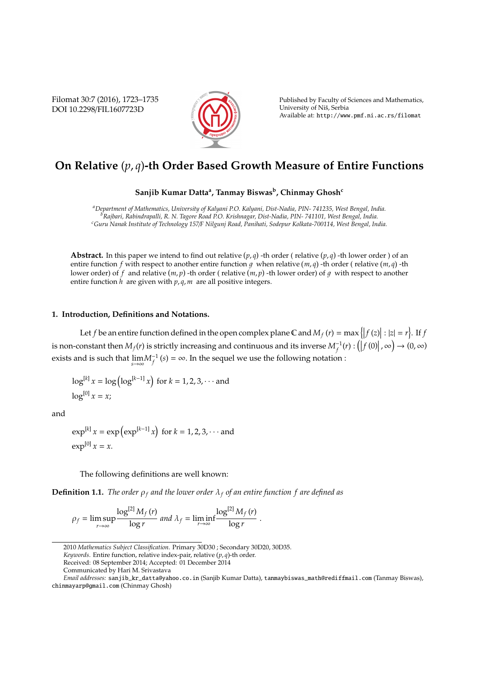Filomat 30:7 (2016), 1723–1735 DOI 10.2298/FIL1607723D



Published by Faculty of Sciences and Mathematics, University of Niš, Serbia Available at: http://www.pmf.ni.ac.rs/filomat

# **On Relative** (*p*, *q*)**-th Order Based Growth Measure of Entire Functions**

**Sanjib Kumar Datta<sup>a</sup> , Tanmay Biswas<sup>b</sup> , Chinmay Ghosh<sup>c</sup>**

*<sup>a</sup>Department of Mathematics, University of Kalyani P.O. Kalyani, Dist-Nadia, PIN- 741235, West Bengal, India. <sup>b</sup>Rajbari, Rabindrapalli, R. N. Tagore Road P.O. Krishnagar, Dist-Nadia, PIN- 741101, West Bengal, India. <sup>c</sup>Guru Nanak Institute of Technology 157*/*F Nilgunj Road, Panihati, Sodepur Kolkata-700114, West Bengal, India.*

**Abstract.** In this paper we intend to find out relative  $(p,q)$  -th order ( relative  $(p,q)$  -th lower order ) of an entire function f with respect to another entire function g when relative  $(m, q)$  -th order (relative  $(m, q)$  -th lower order) of f and relative  $(m, p)$  -th order ( relative  $(m, p)$  -th lower order) of g with respect to another entire function *h* are given with *p*, *q*, *m* are all positive integers.

#### **1. Introduction, Definitions and Notations.**

Let *f* be an entire function defined in the open complex plane C and  $M_f(r) = \max\{|f(z)| : |z| = r\}$ . If *f* is non-constant then  $M_f(r)$  is strictly increasing and continuous and its inverse  $M_f^{-1}(r):(|f(0)|, \infty) \to (0, \infty)$ exists and is such that  $\lim_{s\to\infty}M_f^{-1}(s) = \infty$ . In the sequel we use the following notation :

$$
\log^{[k]} x = \log(\log^{[k-1]} x) \text{ for } k = 1, 2, 3, \cdots \text{ and }
$$
  

$$
\log^{[0]} x = x;
$$

and

 $\exp^{[k]} x = \exp(\exp^{[k-1]} x)$  for  $k = 1, 2, 3, \cdots$  and  $\exp^{[0]} x = x$ .

The following definitions are well known:

**Definition 1.1.** *The order*  $\rho_f$  *and the lower order*  $\lambda_f$  *of an entire function*  $f$  *are defined as* 

$$
\rho_f = \limsup_{r \to \infty} \frac{\log^{[2]} M_f(r)}{\log r} \text{ and } \lambda_f = \liminf_{r \to \infty} \frac{\log^{[2]} M_f(r)}{\log r}.
$$

2010 *Mathematics Subject Classification*. Primary 30D30 ; Secondary 30D20, 30D35.

Keywords. Entire function, relative index-pair, relative (p, q)-th order.

Received: 08 September 2014; Accepted: 01 December 2014

Communicated by Hari M. Srivastava

*Email addresses:* sanjib\_kr\_datta@yahoo.co.in (Sanjib Kumar Datta), tanmaybiswas\_math@rediffmail.com (Tanmay Biswas), chinmayarp@gmail.com (Chinmay Ghosh)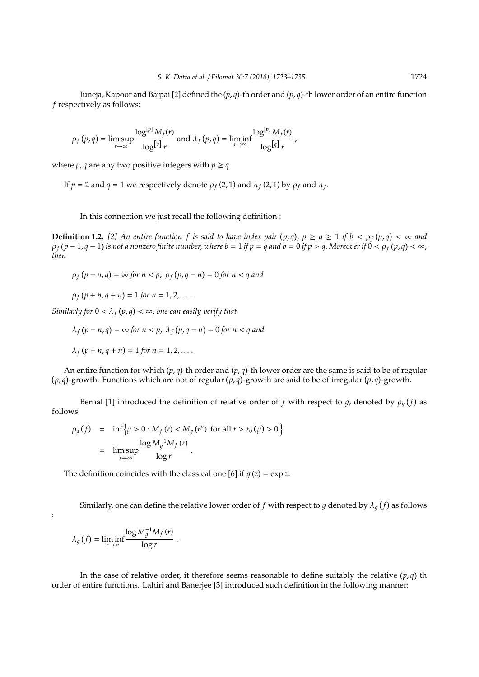Juneja, Kapoor and Bajpai [2] defined the (*p*, *q*)-th order and (*p*, *q*)-th lower order of an entire function *f* respectively as follows:

$$
\rho_f(p,q) = \limsup_{r \to \infty} \frac{\log^{[p]} M_f(r)}{\log^{[q]} r} \text{ and } \lambda_f(p,q) = \liminf_{r \to \infty} \frac{\log^{[p]} M_f(r)}{\log^{[q]} r},
$$

where *p*, *q* are any two positive integers with  $p \geq q$ .

If  $p = 2$  and  $q = 1$  we respectively denote  $\rho_f$  (2, 1) and  $\lambda_f$  (2, 1) by  $\rho_f$  and  $\lambda_f$ .

In this connection we just recall the following definition :

**Definition 1.2.** [2] An entire function f is said to have index-pair  $(p,q)$ ,  $p \ge q \ge 1$  if  $b < \rho_f(p,q) < \infty$  and  $\rho_f$  (p − 1, q − 1) is not a nonzero finite number, where b = 1 if p = q and b = 0 if p > q. Moreover if  $0 < \rho_f(p,q) < \infty$ , *then*

 $\rho_f(p - n, q) = \infty$  *for*  $n < p$ ,  $\rho_f(p, q - n) = 0$  *for*  $n < q$  *and* 

 $\rho_f(p + n, q + n) = 1$  *for*  $n = 1, 2, ....$ .

*Similarly for*  $0 < \lambda_f(p,q) < \infty$ , *one can easily verify that* 

 $\lambda_f$   $(p - n, q) = \infty$  *for*  $n < p$ ,  $\lambda_f$   $(p, q - n) = 0$  *for*  $n < q$  *and* 

$$
\lambda_f(p + n, q + n) = 1
$$
 for  $n = 1, 2, ....$ .

An entire function for which  $(p, q)$ -th order and  $(p, q)$ -th lower order are the same is said to be of regular  $(p, q)$ -growth. Functions which are not of regular  $(p, q)$ -growth are said to be of irregular  $(p, q)$ -growth.

Bernal [1] introduced the definition of relative order of f with respect to g, denoted by  $\rho_q(f)$  as follows:

$$
\rho_g(f) = \inf \left\{ \mu > 0 : M_f(r) < M_g(r^{\mu}) \text{ for all } r > r_0(\mu) > 0. \right\}
$$

$$
= \limsup_{r \to \infty} \frac{\log M_g^{-1} M_f(r)}{\log r}.
$$

The definition coincides with the classical one [6] if  $q(z) = \exp z$ .

Similarly, one can define the relative lower order of  $f$  with respect to  $g$  denoted by  $\lambda_g(f)$  as follows

:

$$
\lambda_g(f)=\liminf_{r\to\infty}\frac{\log M_g^{-1}M_f\left(r\right)}{\log r}\;.
$$

In the case of relative order, it therefore seems reasonable to define suitably the relative  $(p,q)$  th order of entire functions. Lahiri and Banerjee [3] introduced such definition in the following manner: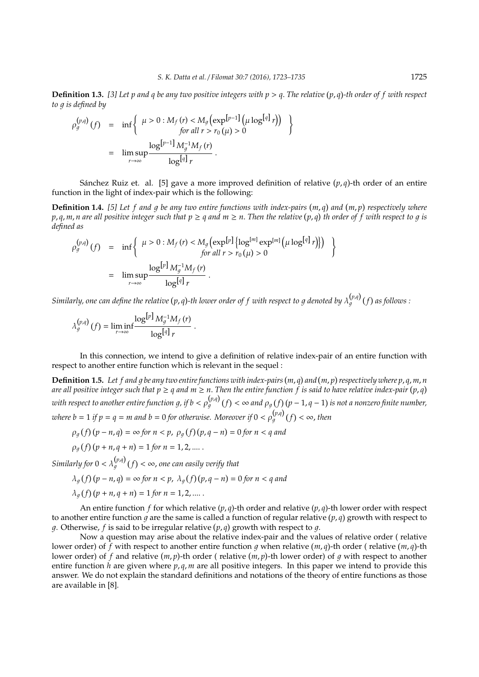**Definition 1.3.** *[3] Let p and q be any two positive integers with p* > *q*. *The relative p*, *q -th order of f with respect to a is defined by* 

$$
\rho_g^{(p,q)}(f) = \inf \left\{ \begin{array}{l} \mu > 0 : M_f(r) < M_g \left( \exp^{[p-1]} (\mu \log^{[q]} r) \right) \\ \text{for all } r > r_0 (\mu) > 0 \end{array} \right\}
$$
  
= 
$$
\lim_{r \to \infty} \frac{\log^{[p-1]} M_g^{-1} M_f(r)}{\log^{[q]} r}.
$$

Sánchez Ruiz et. al. [5] gave a more improved definition of relative  $(p, q)$ -th order of an entire function in the light of index-pair which is the following:

**Definition 1.4.** [5] Let f and g be any two entire functions with index-pairs (m, q) and (m, p) respectively where  $p$ ,  $q$ ,  $m$ ,  $n$  are all positive integer such that  $p\geq q$  and  $m\geq n.$  Then the relative  $(p,q)$  th order of  $f$  with respect to  $g$  is *defined as*

$$
\rho_g^{(p,q)}(f) = \inf \left\{ \begin{array}{l l} \mu > 0: M_f(r) < M_g \left( \exp[r] \left\{ \log^{[m]} \exp^{[m]} \left( \mu \log^{[q]} r \right) \right\} \right) \\ & \text{for all } r > r_0(\mu) > 0 \end{array} \right\}
$$

$$
= \limsup_{r \to \infty} \frac{\log[r] M_g^{-1} M_f(r)}{\log^{[q]} r}.
$$

Similarly, one can define the relative (p, q)-th lower order of f with respect to g denoted by  $\lambda_g^{(p,q)}(f)$  as follows :

$$
\lambda_g^{(p,q)}(f) = \liminf_{r \to \infty} \frac{\log^{[p]} M_g^{-1} M_f(r)}{\log^{[q]} r}.
$$

In this connection, we intend to give a definition of relative index-pair of an entire function with respect to another entire function which is relevant in the sequel :

**Definition 1.5.** Let f and g be any two entire functions with index-pairs (m, q) and (m, p) respectively where p, q, m, n are all positive integer such that  $p\geq q$  and  $m\geq n.$  Then the entire function  $f$  is said to have relative index-pair (p, q) with respect to another entire function g, if  $b<\rho^{(p,q)}_q(f)<\infty$  and  $\rho_g(f)(p-1,q-1)$  is not a nonzero finite number, where  $b = 1$  if  $p = q = m$  and  $b = 0$  for otherwise. Moreover if  $0 < \rho_q^{(p,q)}(f) < \infty$ , then

$$
\rho_q(f)(p-n,q) = \infty
$$
 for  $n < p$ ,  $\rho_q(f)(p,q-n) = 0$  for  $n < q$  and

$$
\rho_q(f)(p + n, q + n) = 1
$$
 for  $n = 1, 2, ...$ 

*Similarly for*  $0 < \lambda_q^{(p,q)}(f) < \infty$ , one can easily verify that

$$
\lambda_g(f)(p-n,q) = \infty \text{ for } n < p, \ \lambda_g(f)(p,q-n) = 0 \text{ for } n < q \text{ and}
$$

$$
\lambda_q(f)(p + n, q + n) = 1
$$
 for  $n = 1, 2, ...$ .

An entire function *f* for which relative (*p*, *q*)-th order and relative (*p*, *q*)-th lower order with respect to another entire function  $g$  are the same is called a function of regular relative  $(p, q)$  growth with respect to g. Otherwise,  $f$  is said to be irregular relative  $(p, q)$  growth with respect to  $q$ .

Now a question may arise about the relative index-pair and the values of relative order ( relative lower order) of f with respect to another entire function g when relative  $(m, q)$ -th order ( relative  $(m, q)$ -th lower order) of  $f$  and relative  $(m, p)$ -th order ( relative  $(m, p)$ -th lower order) of  $g$  with respect to another entire function *h* are given where  $p, q, m$  are all positive integers. In this paper we intend to provide this answer. We do not explain the standard definitions and notations of the theory of entire functions as those are available in [8].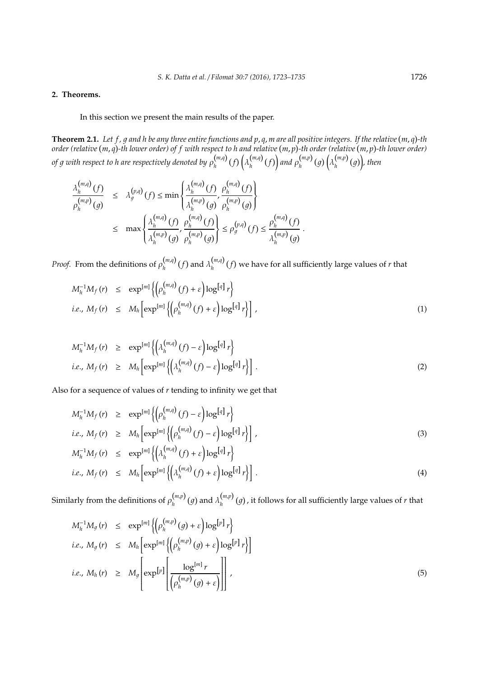### **2. Theorems.**

#### In this section we present the main results of the paper.

**Theorem 2.1.** Let f, g and h be any three entire functions and p, q, m are all positive integers. If the relative  $(m, q)$ -th *order (relative m*, *q -th lower order) of f with respect to h and relative m*, *p -th order (relative m*, *p -th lower order) of g with respect to h are respectively denoted by*  $\rho_h^{(m,q)}$  $\lambda_h^{(m,q)}(f)$   $\lambda_h^{(m,q)}$  $\binom{m,q}{h}(f)$  and  $\rho_h^{(m,p)}$ (*m,p*) (g)  $\left(\lambda_h^{(m,p)}\right)$ *h* 1 *, then*

$$
\frac{\lambda_h^{(m,q)}(f)}{\rho_h^{(m,p)}(g)} \leq \lambda_g^{(p,q)}(f) \leq \min\left\{\frac{\lambda_h^{(m,q)}(f)}{\lambda_h^{(m,p)}(g)}, \frac{\rho_h^{(m,q)}(f)}{\rho_h^{(m,p)}(g)}\right\}
$$
\n
$$
\leq \max\left\{\frac{\lambda_h^{(m,q)}(f)}{\lambda_h^{(m,p)}(g)}, \frac{\rho_h^{(m,q)}(f)}{\rho_h^{(m,p)}(g)}\right\} \leq \rho_g^{(p,q)}(f) \leq \frac{\rho_h^{(m,q)}(f)}{\lambda_h^{(m,p)}(g)}.
$$

*Proof.* From the definitions of  $\rho_h^{(m,q)}$  $\binom{m,q}{h}$   $(f)$  and  $\lambda \binom{m,q}{h}$  $\int_h^{(m,\mu)}(f)$  we have for all sufficiently large values of *r* that

$$
M_h^{-1} M_f(r) \le \exp^{\lfloor m \rfloor} \left\{ \left( \rho_h^{(m,q)}(f) + \varepsilon \right) \log^{\lfloor q \rfloor} r \right\}
$$
  
*i.e.,*  $M_f(r) \le M_h \left[ \exp^{\lfloor m \rfloor} \left\{ \left( \rho_h^{(m,q)}(f) + \varepsilon \right) \log^{\lfloor q \rfloor} r \right\} \right],$  (1)

$$
M_h^{-1} M_f(r) \ge \exp^{[m]} \left\{ \left( \lambda_h^{(m,q)}(f) - \varepsilon \right) \log^{[q]} r \right\}
$$
  
*i.e.,*  $M_f(r) \ge M_h \left[ \exp^{[m]} \left\{ \left( \lambda_h^{(m,q)}(f) - \varepsilon \right) \log^{[q]} r \right\} \right].$  (2)

Also for a sequence of values of *r* tending to infinity we get that

$$
M_h^{-1} M_f(r) \ge \exp^{\lfloor m \rfloor} \left\{ \left( \rho_h^{(m,q)}(f) - \varepsilon \right) \log^{\lfloor q \rfloor} r \right\}
$$
  
*i.e.,*  $M_f(r) \ge M_h \left[ \exp^{\lfloor m \rfloor} \left\{ \left( \rho_h^{(m,q)}(f) - \varepsilon \right) \log^{\lfloor q \rfloor} r \right\} \right],$  (3)

$$
M_h^{-1} M_f(r) \le \exp^{[m]} \left\{ \left( \lambda_h^{(m,q)}(f) + \varepsilon \right) \log^{[q]} r \right\}
$$
  
*i.e.,*  $M_f(r) \le M_h \left[ \exp^{[m]} \left\{ \left( \lambda_h^{(m,q)}(f) + \varepsilon \right) \log^{[q]} r \right\} \right].$  (4)

Similarly from the definitions of  $\rho_h^{(m,p)}$  $\binom{m,p}{h}(g)$  and  $\lambda \binom{m,p}{h}$  $\int_h^{(m,p)}(g)$ , it follows for all sufficiently large values of *r* that

$$
M_h^{-1} M_g(r) \le \exp^{[m]} \{ \left( \rho_h^{(m,p)}(g) + \varepsilon \right) \log^{[p]} r \}
$$
  
\n*i.e.,*  $M_g(r) \le M_h \left[ \exp^{[m]} \{ \left( \rho_h^{(m,p)}(g) + \varepsilon \right) \log^{[p]} r \} \right]$   
\n*i.e.,*  $M_h(r) \ge M_g \left[ \exp^{[p]} \left[ \frac{\log^{[m]} r}{\left( \rho_h^{(m,p)}(g) + \varepsilon \right)} \right] \right],$  (5)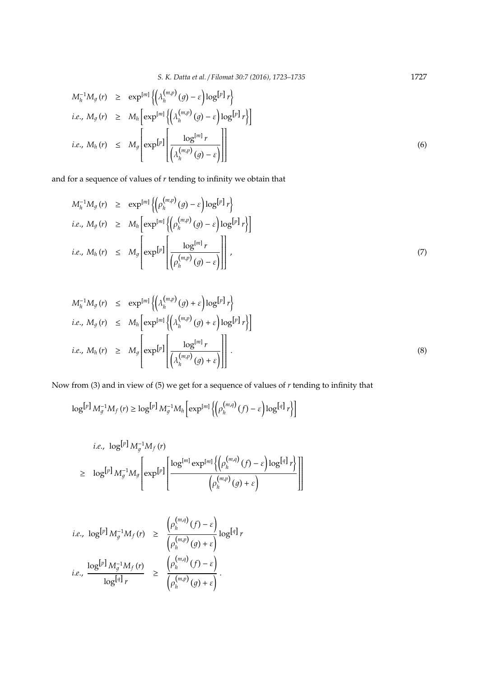*S. K. Datta et al.* / *Filomat 30:7 (2016), 1723–1735* 1727

$$
M_h^{-1} M_g(r) \ge \exp^{\lfloor ml \{ \left( \lambda_h^{(m,p)}(g) - \varepsilon \right) \log \lfloor r \rfloor r \}}\}
$$
  
*i.e.,*  $M_g(r) \ge M_h \left[ \exp^{\lfloor ml \{ \left( \lambda_h^{(m,p)}(g) - \varepsilon \right) \log \lfloor r \rfloor r \}} \right]$   
*i.e.,*  $M_h(r) \le M_g \left[ \exp^{\lfloor pt \rfloor} \left[ \frac{\log^{\lfloor ml} r}{\left( \lambda_h^{(m,p)}(g) - \varepsilon \right) \right]} \right]$  (6)

and for a sequence of values of *r* tending to infinity we obtain that

$$
M_h^{-1} M_g(r) \ge \exp^{[m]} \left\{ \left( \rho_h^{(m,p)}(g) - \varepsilon \right) \log^{[p]} r \right\}
$$
  
\n*i.e.,*  $M_g(r) \ge M_h \left[ \exp^{[m]} \left\{ \left( \rho_h^{(m,p)}(g) - \varepsilon \right) \log^{[p]} r \right\} \right]$   
\n*i.e.,*  $M_h(r) \le M_g \left[ \exp^{[p]} \left[ \frac{\log^{[m]} r}{\left( \rho_h^{(m,p)}(g) - \varepsilon \right)} \right] \right],$  (7)

$$
M_h^{-1} M_g(r) \le \exp^{[m]} \left\{ \left( \lambda_h^{(m,p)}(g) + \varepsilon \right) \log^{[p]} r \right\}
$$
  
\n*i.e.,*  $M_g(r) \le M_h \left[ \exp^{[m]} \left\{ \left( \lambda_h^{(m,p)}(g) + \varepsilon \right) \log^{[p]} r \right\} \right]$   
\n*i.e.,*  $M_h(r) \ge M_g \left[ \exp^{[p]} \left[ \frac{\log^{[m]} r}{\left( \lambda_h^{(m,p)}(g) + \varepsilon \right)} \right] \right].$  (8)

Now from (3) and in view of (5) we get for a sequence of values of *r* tending to infinity that

$$
\log^{\left[p\right]}M_g^{-1}M_f\left(r\right)\geq \log^{\left[p\right]}M_g^{-1}M_h\left[\exp^{\left[m\right]}\left\{\left(\rho_h^{\left(m,q\right)}\left(f\right)-\varepsilon\right)\log^{\left[q\right]}r\right\}\right]
$$

i.e., 
$$
\log^{[p]} M_g^{-1} M_f(r)
$$
  
\n
$$
\geq \log^{[p]} M_g^{-1} M_g \left[ \exp^{[p]} \left\{ \frac{\log^{[m]} \exp^{[m]} \left\{ \left( \rho_h^{(m,q)}(f) - \varepsilon \right) \log^{[q]} r \right\}}{\left( \rho_h^{(m,p)}(g) + \varepsilon \right)} \right] \right]
$$

$$
i.e., \log^{[p]} M_g^{-1} M_f(r) \ge \frac{\left(\rho_h^{(m,q)}(f) - \varepsilon\right)}{\left(\rho_h^{(m,p)}(g) + \varepsilon\right)} \log^{[q]} r
$$
  

$$
i.e., \frac{\log^{[p]} M_g^{-1} M_f(r)}{\log^{[q]} r} \ge \frac{\left(\rho_h^{(m,q)}(f) - \varepsilon\right)}{\left(\rho_h^{(m,p)}(g) + \varepsilon\right)}.
$$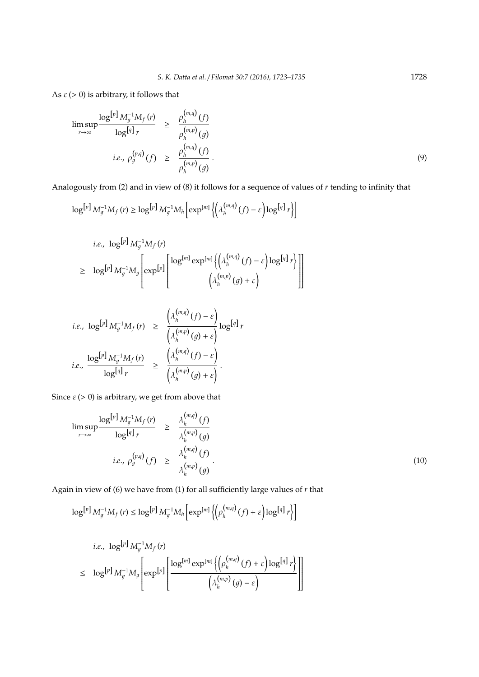As  $\varepsilon$  (> 0) is arbitrary, it follows that

$$
\limsup_{r \to \infty} \frac{\log^{[p]} M_g^{-1} M_f(r)}{\log^{[q]} r} \ge \frac{\rho_h^{(m,q)}(f)}{\rho_h^{(m,p)}(g)}
$$
\n*i.e.,*  $\rho_g^{(p,q)}(f) \ge \frac{\rho_h^{(m,q)}(f)}{\rho_h^{(m,p)}(g)}$ . (9)

Analogously from (2) and in view of (8) it follows for a sequence of values of *r* tending to infinity that

$$
\log^{[p]} M_g^{-1} M_f(r) \geq \log^{[p]} M_g^{-1} M_h \left[ \exp^{[m]} \left\{ \left( \lambda_h^{(m,q)}(f) - \varepsilon \right) \log^{[q]} r \right\} \right]
$$

i.e., 
$$
\log^{[p]} M_g^{-1} M_f(r)
$$
  
\n
$$
\geq \log^{[p]} M_g^{-1} M_g \left[ \exp^{[p]} \left\{ \frac{\log^{[m]} \exp^{[m]} \left\{ \left( \lambda_h^{(m,q)}(f) - \varepsilon \right) \log^{[q]} r \right\}}{\left( \lambda_h^{(m,p)}(g) + \varepsilon \right)} \right\} \right]
$$

$$
\begin{array}{rcl} i.e., \ \log^{\left[p\right]} M_g^{-1} M_f\left(r\right) & \ge & \displaystyle\frac{\left(\lambda_h^{\left(m,q\right)}\left(f\right)-\varepsilon\right)}{\left(\lambda_h^{\left(m,p\right)}\left(g\right)+\varepsilon\right)} \log^{\left[q\right]} r\\ i.e., \displaystyle\frac{\log^{\left[p\right]} M_g^{-1} M_f\left(r\right)}{\log^{\left[q\right]} r} & \ge & \displaystyle\frac{\left(\lambda_h^{\left(m,q\right)}\left(f\right)-\varepsilon\right)}{\left(\lambda_h^{\left(m,p\right)}\left(g\right)+\varepsilon\right)}\,.\end{array}
$$

Since  $\varepsilon$  (> 0) is arbitrary, we get from above that

$$
\limsup_{r \to \infty} \frac{\log^{[p]} M_g^{-1} M_f(r)}{\log^{[q]} r} \ge \frac{\lambda_h^{(m,q)}(f)}{\lambda_h^{(m,p)}(g)}
$$
\n
$$
i.e., \rho_g^{(p,q)}(f) \ge \frac{\lambda_h^{(m,q)}(f)}{\lambda_h^{(m,p)}(g)}.
$$
\n(10)

Again in view of (6) we have from (1) for all sufficiently large values of *r* that

$$
\log^{[p]} M_g^{-1} M_f(r) \leq \log^{[p]} M_g^{-1} M_h \left[ \exp^{[m]} \left\{ \left( \rho_h^{(m,q)}(f) + \varepsilon \right) \log^{[q]} r \right\} \right]
$$

$$
\begin{array}{lll}\ni.e.,& \log^{\left[p\right]} M_g^{-1} M_f\left(r\right)\\&\le& \log^{\left[p\right]} M_g^{-1} M_g \left[\exp^{\left[p\right]}\left[\frac{\log^{\left[m\right]} \exp^{\left[m\right]} \left\{\left(\rho_h^{\left(m,q\right)}\left(f\right)+\varepsilon\right\} \log^{\left[q\right]} r\right\} }{\left(\lambda_h^{\left(m,p\right)}\left(g\right)-\varepsilon\right)}\right]\right]\end{array}
$$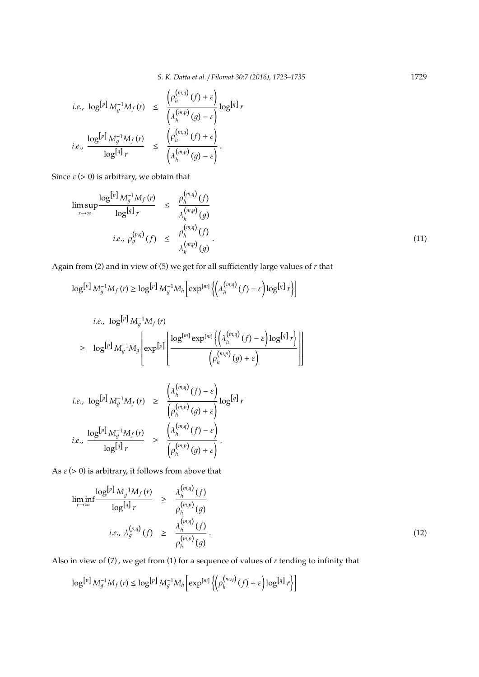*S. K. Datta et al.* / *Filomat 30:7 (2016), 1723–1735* 1729

$$
i.e., \log^{[p]} M_g^{-1} M_f(r) \leq \frac{\left(\rho_h^{(m,q)}(f) + \varepsilon\right)}{\left(\lambda_h^{(m,p)}(g) - \varepsilon\right)} \log^{[q]} r
$$
  

$$
i.e., \frac{\log^{[p]} M_g^{-1} M_f(r)}{\log^{[q]} r} \leq \frac{\left(\rho_h^{(m,q)}(f) + \varepsilon\right)}{\left(\lambda_h^{(m,p)}(g) - \varepsilon\right)}.
$$

Since  $\varepsilon$  (> 0) is arbitrary, we obtain that

$$
\limsup_{r \to \infty} \frac{\log^{[p]} M_g^{-1} M_f(r)}{\log^{[q]} r} \le \frac{\rho_h^{(m,q)}(f)}{\lambda_h^{(m,p)}(g)}
$$
\n
$$
i.e., \rho_g^{(p,q)}(f) \le \frac{\rho_h^{(m,q)}(f)}{\lambda_h^{(m,p)}(g)}.
$$
\n(11)

Again from (2) and in view of (5) we get for all sufficiently large values of *r* that

$$
\log^{[p]} M_g^{-1} M_f(r) \geq \log^{[p]} M_g^{-1} M_h \left[ \exp^{[m]} \left\{ \left( \lambda_h^{(m,q)}(f) - \varepsilon \right) \log^{[q]} r \right\} \right]
$$

*i.e.*, 
$$
\log^{[p]} M_g^{-1} M_f(r)
$$
  
\n
$$
\geq \log^{[p]} M_g^{-1} M_g \left[ \exp^{[p]} \left\{ \frac{\log^{[m]} \exp^{[m]} \left\{ \left( \lambda_h^{(m,q)}(f) - \varepsilon \right) \log^{[q]} r \right\}}{\left( \rho_h^{(m,p)}(g) + \varepsilon \right)} \right] \right]
$$

*i.e.*, 
$$
\log^{[p]} M_g^{-1} M_f(r) \ge \frac{\left(\lambda_h^{(m,q)}(f) - \varepsilon\right)}{\left(\rho_h^{(m,p)}(g) + \varepsilon\right)} \log^{[q]} r
$$
  
\n*i.e.*,  $\frac{\log^{[p]} M_g^{-1} M_f(r)}{\log^{[q]} r} \ge \frac{\left(\lambda_h^{(m,q)}(f) - \varepsilon\right)}{\left(\rho_h^{(m,p)}(g) + \varepsilon\right)}$ .

As  $\varepsilon$  (> 0) is arbitrary, it follows from above that

$$
\liminf_{r \to \infty} \frac{\log^{[p]} M_g^{-1} M_f(r)}{\log^{[q]} r} \ge \frac{\lambda_h^{(m,q)}(f)}{\rho_h^{(m,p)}(g)}
$$
\n
$$
i.e., \lambda_g^{(p,q)}(f) \ge \frac{\lambda_h^{(m,q)}(f)}{\rho_h^{(m,p)}(g)}.
$$
\n(12)

Also in view of (7) , we get from (1) for a sequence of values of *r* tending to infinity that

$$
\log^{[p]} M_g^{-1} M_f(r) \leq \log^{[p]} M_g^{-1} M_h \left[ \exp^{[m]} \left\{ \left( \rho_h^{(m,q)}(f) + \varepsilon \right) \log^{[q]} r \right\} \right]
$$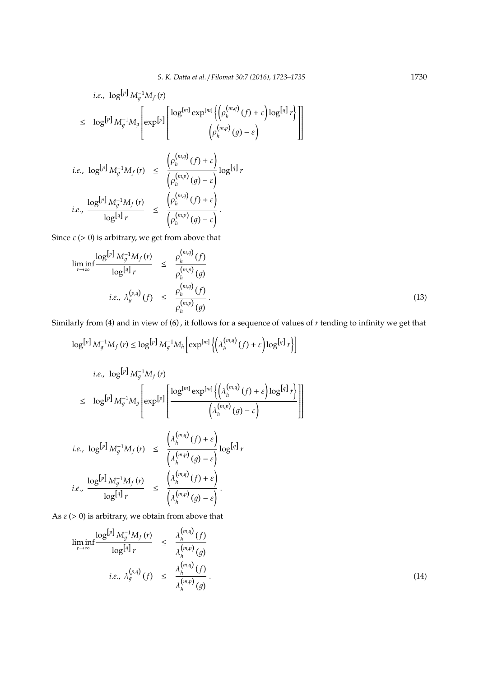$\overline{\phantom{a}}$  $\overline{\phantom{a}}$ 

1

1

 $\overline{\phantom{a}}$ 

 $\overline{\phantom{a}}$ 

$$
i.e., \log^{[p]} M_g^{-1} M_f(r)
$$
\n
$$
\leq \log^{[p]} M_g^{-1} M_g \left[ \exp^{[p]} \left[ \frac{\log^{[m]} \exp^{[m]} \left\{ \left( \rho_h^{(m,q)}(f) + \varepsilon \right) \log^{[q]} r \right\}}{\left( \rho_h^{(m,p)}(g) - \varepsilon \right)} \right] \right]
$$
\n
$$
i.e., \log^{[p]} M_g^{-1} M_f(r) \leq \frac{\left( \rho_h^{(m,q)}(f) + \varepsilon \right)}{\left( \rho_h^{(m,p)}(g) - \varepsilon \right)} \log^{[q]} r
$$
\n
$$
i.e., \frac{\log^{[p]} M_g^{-1} M_f(r)}{\log^{[q]} r} \leq \frac{\left( \rho_h^{(m,q)}(f) + \varepsilon \right)}{\left( \rho_h^{(m,p)}(g) - \varepsilon \right)}.
$$

Since  $\varepsilon$  (> 0) is arbitrary, we get from above that

$$
\liminf_{r \to \infty} \frac{\log^{[p]} M_g^{-1} M_f(r)}{\log^{[q]} r} \le \frac{\rho_h^{(m,q)}(f)}{\rho_h^{(m,p)}(g)}
$$
\n
$$
i.e., \lambda_g^{(p,q)}(f) \le \frac{\rho_h^{(m,q)}(f)}{\rho_h^{(m,p)}(g)}.
$$
\n(13)

Similarly from (4) and in view of (6) , it follows for a sequence of values of *r* tending to infinity we get that

$$
\log^{[p]} M_g^{-1} M_f(r) \leq \log^{[p]} M_g^{-1} M_h \left[ \exp^{[m]} \left\{ \left( \lambda_h^{(m,q)}(f) + \varepsilon \right) \log^{[q]} r \right\} \right]
$$

$$
i.e., \log^{[p]} M_g^{-1} M_f(r)
$$
\n
$$
\leq \log^{[p]} M_g^{-1} M_g \left[ \exp^{[p]} \left[ \frac{\log^{[m]} \exp^{[m]} \left\{ \left( \lambda_h^{(m,q)}(f) + \varepsilon \right) \log^{[q]} r \right\}}{\left( \lambda_h^{(m,p)}(g) - \varepsilon \right)} \right\} \right]
$$
\n
$$
i.e., \log^{[p]} M_g^{-1} M_f(r) \leq \frac{\left( \lambda_h^{(m,q)}(f) + \varepsilon \right)}{\left( \lambda_h^{(m,p)}(g) - \varepsilon \right)} \log^{[q]} r
$$
\n
$$
i.e., \frac{\log^{[p]} M_g^{-1} M_f(r)}{\log^{[q]} r} \leq \frac{\left( \lambda_h^{(m,q)}(f) + \varepsilon \right)}{\left( \lambda_h^{(m,p)}(g) - \varepsilon \right)}.
$$

As  $\varepsilon$  (> 0) is arbitrary, we obtain from above that

$$
\liminf_{r \to \infty} \frac{\log^{[p]} M_g^{-1} M_f(r)}{\log^{[q]} r} \leq \frac{\lambda_h^{(m,q)}(f)}{\lambda_h^{(m,p)}(g)}
$$
\n*i.e.,*  $\lambda_g^{(p,q)}(f) \leq \frac{\lambda_h^{(m,q)}(f)}{\lambda_h^{(m,p)}(g)}$ . (14)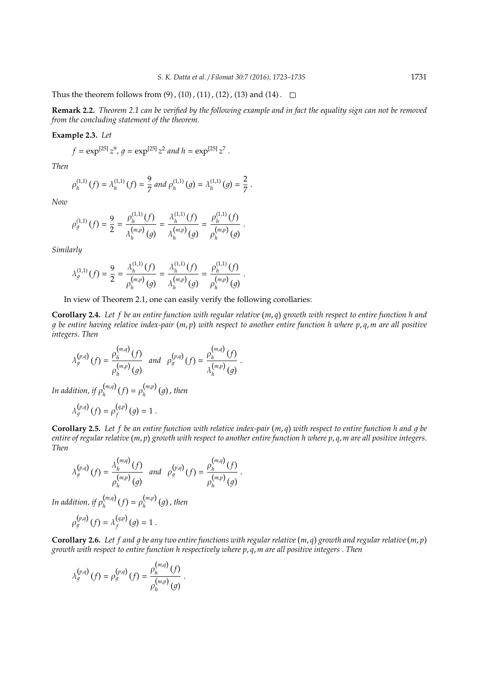Thus the theorem follows from  $(9)$ ,  $(10)$ ,  $(11)$ ,  $(12)$ ,  $(13)$  and  $(14)$ .

**Remark 2.2.** *Theorem 2.1 can be verified by the following example and in fact the equality sign can not be removed from the concluding statement of the theorem.*

**Example 2.3.** *Let*

$$
f = \exp^{\left[25\right]} z^9
$$
,  $g = \exp^{\left[25\right]} z^2$  and  $h = \exp^{\left[25\right]} z^7$ .

*Then*

$$
\rho_h^{(1,1)}(f) = \lambda_h^{(1,1)}(f) = \frac{9}{7} \text{ and } \rho_h^{(1,1)}(g) = \lambda_h^{(1,1)}(g) = \frac{2}{7}.
$$

*Now*

$$
\rho_g^{(1,1)}(f) = \frac{9}{2} = \frac{\rho_h^{(1,1)}(f)}{\lambda_h^{(m,p)}(g)} = \frac{\lambda_h^{(1,1)}(f)}{\lambda_h^{(m,p)}(g)} = \frac{\rho_h^{(1,1)}(f)}{\rho_h^{(m,p)}(g)}.
$$

*Similarly*

$$
\lambda_g^{(1,1)}(f) = \frac{9}{2} = \frac{\lambda_h^{(1,1)}(f)}{\rho_h^{(m,p)}(g)} = \frac{\lambda_h^{(1,1)}(f)}{\lambda_h^{(m,p)}(g)} = \frac{\rho_h^{(1,1)}(f)}{\rho_h^{(m,p)}(g)}.
$$

In view of Theorem 2.1, one can easily verify the following corollaries:

**Corollary 2.4.** Let f be an entire function with regular relative (m, q) growth with respect to entire function h and g be entire having relative index-pair (m, p) with respect to another entire function h where p, q, m are all positive *integers*. *Then*

.

$$
\lambda_g^{(p,q)}(f) = \frac{\rho_h^{(m,q)}(f)}{\rho_h^{(m,p)}(g)} \text{ and } \rho_g^{(p,q)}(f) = \frac{\rho_h^{(m,q)}(f)}{\lambda_h^{(m,p)}(g)}
$$

In addition, if  $\rho_h^{(m,q)}$  $\binom{m,q}{h}(f) = \rho_h^{(m,p)}$ *h* 1 , *then*

$$
\lambda_g^{(p,q)}(f) = \rho_f^{(q,p)}(g) = 1.
$$

**Corollary 2.5.** Let f be an entire function with relative index-pair (m, q) with respect to entire function h and g be entire of regular relative (m, p) growth with respect to another entire function h where p, q, m are all positive integers. *Then*

.

$$
\lambda_g^{(p,q)}(f) = \frac{\lambda_h^{(m,q)}(f)}{\rho_h^{(m,p)}(g)} \quad \text{and} \quad \rho_g^{(p,q)}(f) = \frac{\rho_h^{(m,q)}(f)}{\rho_h^{(m,p)}(g)}
$$

In addition, if  $\rho_h^{(m,q)}$  $\binom{m,q}{h}(f) = \rho_h^{(m,p)}$ *h* 1 , *then*

$$
\rho_g^{(p,q)}(f) = \lambda_f^{(q,p)}(g) = 1.
$$

**Corollary 2.6.** Let f and g be any two entire functions with regular relative (m, q) growth and regular relative (m, p) *growth with respect to entire function h respectively where p*, *q*, *m are all positive integers* . *Then*

$$
\lambda_g^{(p,q)}(f) = \rho_g^{(p,q)}(f) = \frac{\rho_h^{(m,q)}(f)}{\rho_h^{(m,p)}(g)}.
$$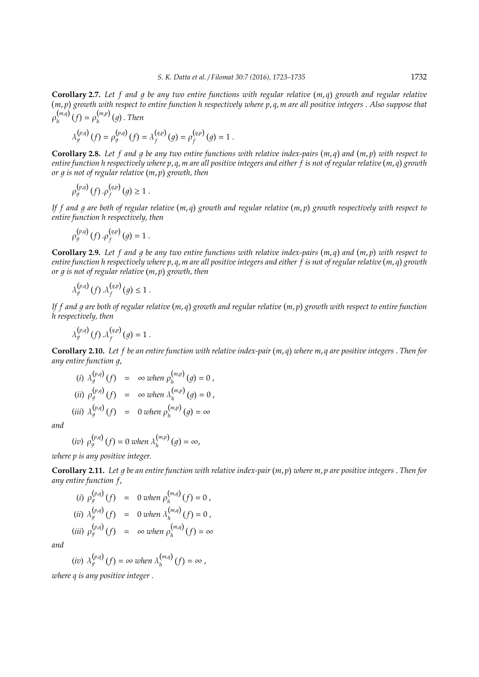**Corollary 2.7.** Let f and g be any two entire functions with regular relative (m, q) growth and regular relative *m*, *p growth with respect to entire function h respectively where p*, *q*, *m are all positive integers* . *Also suppose that*  $\rho_h^{(m,q)}$  $\binom{m,q}{h}(f) = \rho_h^{(m,p)}$ *h* 1 . *Then*

$$
\lambda_g^{(p,q)}\left(f\right)=\rho_g^{(p,q)}\left(f\right)=\lambda_f^{(q,p)}\left(g\right)=\rho_f^{(q,p)}\left(g\right)=1\;.
$$

**Corollary 2.8.** Let f and g be any two entire functions with relative index-pairs  $(m, q)$  and  $(m, p)$  with respect to *entire function h respectively where p*, *q*, *m are all positive integers and either f is not of regular relative m*, *q growth or* 1 *is not of regular relative m*, *p growth, then*

$$
\rho_g^{(p,q)}(f) \cdot \rho_f^{(q,p)}(g) \geq 1.
$$

If f and g are both of regular relative (m,q) growth and regular relative (m,p) growth respectively with respect to *entire function h respectively, then*

$$
\rho_g^{(p,q)}(f) \cdot \rho_f^{(q,p)}(g) = 1.
$$

**Corollary 2.9.** Let f and g be any two entire functions with relative index-pairs  $(m, q)$  and  $(m, p)$  with respect to *entire function h respectively where p*, *q*, *m are all positive integers and either f is not of regular relative m*, *q growth or* 1 *is not of regular relative m*, *p growth, then*

$$
\lambda_g^{(p,q)}(f) \cdot \lambda_f^{(q,p)}(g) \leq 1.
$$

If f and g are both of regular relative (m, q) growth and regular relative (m, p) growth with respect to entire function *h respectively, then*

$$
\lambda_g^{(p,q)}\left(f\right).\lambda_f^{(q,p)}\left(g\right)=1\;.
$$

**Corollary 2.10.** *Let f be an entire function with relative index-pair m*, *q where m*, *q are positive integers* . *Then for any entire function q,* 

(i) 
$$
\lambda_g^{(p,q)}(f) = \infty
$$
 when  $\rho_h^{(m,p)}(g) = 0$ ,  
\n(ii)  $\rho_g^{(p,q)}(f) = \infty$  when  $\lambda_h^{(m,p)}(g) = 0$ ,  
\n(iii)  $\lambda_g^{(p,q)}(f) = 0$  when  $\rho_h^{(m,p)}(g) = \infty$ 

*and*

$$
(iv) \rho_g^{(p,q)}(f) = 0 \text{ when } \lambda_h^{(m,p)}(g) = \infty,
$$

*where p is any positive integer.*

**Corollary 2.11.** *Let* 1 *be an entire function with relative index-pair m*, *p where m*, *p are positive integers* . *Then for any entire function f*,

(i) 
$$
\rho_g^{(p,q)}(f) = 0
$$
 when  $\rho_h^{(m,q)}(f) = 0$ ,  
\n(ii)  $\lambda_g^{(p,q)}(f) = 0$  when  $\lambda_h^{(m,q)}(f) = 0$ ,  
\n(iii)  $\rho_g^{(p,q)}(f) = \infty$  when  $\rho_h^{(m,q)}(f) = \infty$ 

*and*

(iv) 
$$
\lambda_g^{(p,q)}(f) = \infty
$$
 when  $\lambda_h^{(m,q)}(f) = \infty$ ,

*where q is any positive integer* .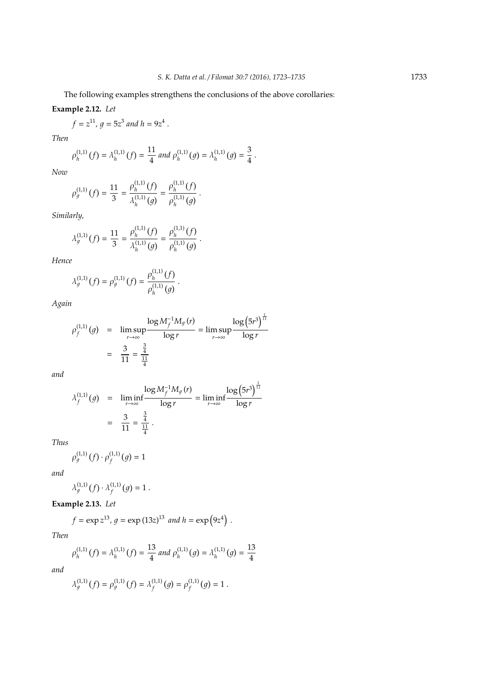The following examples strengthens the conclusions of the above corollaries:

## **Example 2.12.** *Let*

$$
f = z^{11}
$$
,  $g = 5z^3$  and  $h = 9z^4$ .

*Then*

$$
\rho_h^{(1,1)}(f) = \lambda_h^{(1,1)}(f) = \frac{11}{4} \text{ and } \rho_h^{(1,1)}(g) = \lambda_h^{(1,1)}(g) = \frac{3}{4}.
$$

*Now*

$$
\rho_g^{(1,1)}(f) = \frac{11}{3} = \frac{\rho_h^{(1,1)}(f)}{\lambda_h^{(1,1)}(g)} = \frac{\rho_h^{(1,1)}(f)}{\rho_h^{(1,1)}(g)}.
$$

*Similarly,*

$$
\lambda_g^{(1,1)}(f) = \frac{11}{3} = \frac{\rho_h^{(1,1)}(f)}{\lambda_h^{(1,1)}(g)} = \frac{\rho_h^{(1,1)}(f)}{\rho_h^{(1,1)}(g)}.
$$

*Hence*

$$
\lambda_g^{(1,1)}(f) = \rho_g^{(1,1)}(f) = \frac{\rho_h^{(1,1)}(f)}{\rho_h^{(1,1)}(g)}.
$$

*Again*

$$
\rho_f^{(1,1)}(g) = \limsup_{r \to \infty} \frac{\log M_f^{-1} M_g(r)}{\log r} = \limsup_{r \to \infty} \frac{\log (5r^3)^{\frac{1}{11}}}{\log r}
$$

$$
= \frac{3}{11} = \frac{\frac{3}{4}}{\frac{11}{4}}
$$

*and*

$$
\lambda_f^{(1,1)}(g) = \liminf_{r \to \infty} \frac{\log M_f^{-1} M_g(r)}{\log r} = \liminf_{r \to \infty} \frac{\log (5r^3)^{\frac{1}{11}}}{\log r}
$$

$$
= \frac{3}{11} = \frac{\frac{3}{4}}{\frac{11}{4}}.
$$

*Thus*

$$
\rho_g^{(1,1)}(f) \cdot \rho_f^{(1,1)}(g) = 1
$$

*and*

$$
\lambda_g^{(1,1)}(f) \cdot \lambda_f^{(1,1)}(g) = 1.
$$

**Example 2.13.** *Let*

$$
f = \exp z^{13}
$$
,  $g = \exp (13z)^{13}$  and  $h = \exp (9z^4)$ .

*Then*

$$
\rho_h^{(1,1)}\left(f\right)=\lambda_h^{(1,1)}\left(f\right)=\frac{13}{4} \ and \ \rho_h^{(1,1)}\left(g\right)=\lambda_h^{(1,1)}\left(g\right)=\frac{13}{4}
$$

*and*

$$
\lambda_g^{(1,1)}(f) = \rho_g^{(1,1)}(f) = \lambda_f^{(1,1)}(g) = \rho_f^{(1,1)}(g) = 1.
$$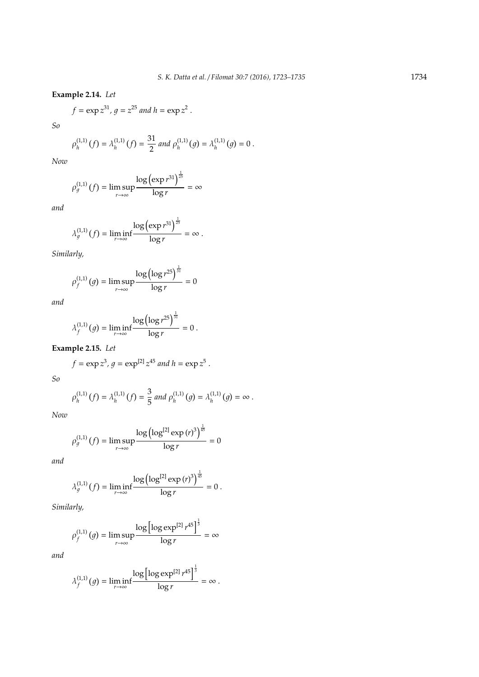**Example 2.14.** *Let*

$$
f = \exp z^{31}
$$
,  $g = z^{25}$  and  $h = \exp z^2$ .

*So*

$$
\rho_h^{(1,1)}(f) = \lambda_h^{(1,1)}(f) = \frac{31}{2} \text{ and } \rho_h^{(1,1)}(g) = \lambda_h^{(1,1)}(g) = 0.
$$

*Now*

$$
\rho_g^{(1,1)}\left(f\right)=\limsup_{r\to\infty}\frac{\log\left(\exp{r^{31}}\right)^{\frac{1}{25}}}{\log{r}}=\infty
$$

*and*

$$
\lambda_g^{(1,1)}(f) = \liminf_{r \to \infty} \frac{\log(\exp r^{31})^{\frac{1}{25}}}{\log r} = \infty.
$$

*Similarly,*

$$
\rho_f^{(1,1)}(g) = \limsup_{r \to \infty} \frac{\log(\log r^{25})^{\frac{1}{31}}}{\log r} = 0
$$

*and*

$$
\lambda_f^{(1,1)}(g) = \liminf_{r \to \infty} \frac{\log (\log r^{25})^{\frac{1}{31}}}{\log r} = 0.
$$

**Example 2.15.** *Let*

$$
f = \exp z^3
$$
,  $g = \exp^{[2]} z^{45}$  and  $h = \exp z^5$ .

*So*

$$
\rho_h^{(1,1)}(f) = \lambda_h^{(1,1)}(f) = \frac{3}{5} \text{ and } \rho_h^{(1,1)}(g) = \lambda_h^{(1,1)}(g) = \infty.
$$

*Now*

$$
\rho_g^{(1,1)}(f) = \limsup_{r \to \infty} \frac{\log(\log^{[2]}\exp{(r)}^3)^{\frac{1}{45}}}{\log{r}} = 0
$$

*and*

$$
\lambda_g^{(1,1)}\left(f\right)=\liminf_{r\to\infty}\frac{\log\left(\log^{[2]}\exp\left(r\right)^3\right)^{\frac{1}{45}}}{\log r}=0\;.
$$

*Similarly,*

$$
\rho_f^{(1,1)}(g) = \limsup_{r \to \infty} \frac{\log \left[ \log \exp^{[2]} r^{45} \right]^{\frac{1}{3}}}{\log r} = \infty
$$

*and*

$$
\lambda_f^{(1,1)}\left(g\right)=\liminf_{r\to\infty}\frac{\log\left[\log\exp^{[2]}\,r^{45}\right]^{\frac{1}{3}}}{\log r}=\infty\;.
$$